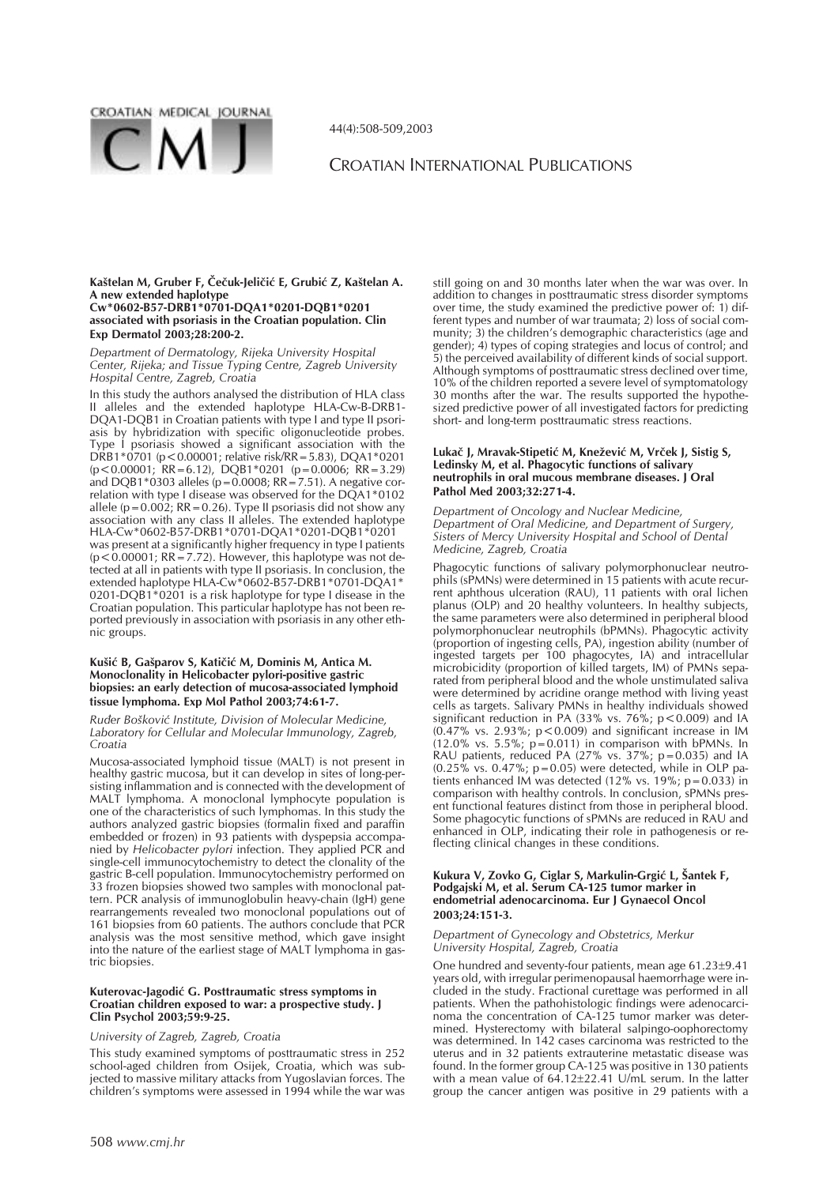

44(4):508-509,2003

# CROATIAN INTERNATIONAL PUBLICATIONS

#### Kaštelan M, Gruber F, Čečuk-Jeličić E, Grubić Z, Kaštelan A. **A new extended haplotype Cw\*0602-B57-DRB1\*0701-DQA1\*0201-DQB1\*0201 associated with psoriasis in the Croatian population. Clin Exp Dermatol 2003;28:200-2.**

*Department of Dermatology, Rijeka University Hospital Center, Rijeka; and Tissue Typing Centre, Zagreb University Hospital Centre, Zagreb, Croatia*

In this study the authors analysed the distribution of HLA class II alleles and the extended haplotype HLA-Cw-B-DRB1-DQA1-DQB1 in Croatian patients with type I and type II psoriasis by hybridization with specific oligonucleotide probes. Type I psoriasis showed a significant association with the DRB1\*0701 (p<0.00001; relative risk/RR=5.83), DQA1\*0201 (p<0.00001; RR=6.12), DQB1\*0201 (p=0.0006; RR=3.29) and DQB1\*0303 alleles (p=0.0008; RR=7.51). A negative correlation with type I disease was observed for the DQA1\*0102 allele (p=0.002; RR=0.26). Type II psoriasis did not show any association with any class II alleles. The extended haplotype HLA-Cw\*0602-B57-DRB1\*0701-DQA1\*0201-DQB1\*0201 was present at a significantly higher frequency in type I patients  $(p < 0.00001; RR = 7.72)$ . However, this haplotype was not detected at all in patients with type II psoriasis. In conclusion, the extended haplotype HLA-Cw\*0602-B57-DRB1\*0701-DQA1\* 0201-DQB1\*0201 is a risk haplotype for type I disease in the Croatian population. This particular haplotype has not been reported previously in association with psoriasis in any other ethnic groups.

## Kušić B, Gašparov S, Katičić M, Dominis M, Antica M. **Monoclonality in Helicobacter pylori-positive gastric biopsies: an early detection of mucosa-associated lymphoid tissue lymphoma. Exp Mol Pathol 2003;74:61-7.**

*Ruðer Boškoviæ Institute, Division of Molecular Medicine, Laboratory for Cellular and Molecular Immunology, Zagreb, Croatia*

Mucosa-associated lymphoid tissue (MALT) is not present in healthy gastric mucosa, but it can develop in sites of long-persisting inflammation and is connected with the development of MALT lymphoma. A monoclonal lymphocyte population is one of the characteristics of such lymphomas. In this study the authors analyzed gastric biopsies (formalin fixed and paraffin embedded or frozen) in 93 patients with dyspepsia accompanied by *Helicobacter pylori* infection. They applied PCR and single-cell immunocytochemistry to detect the clonality of the gastric B-cell population. Immunocytochemistry performed on 33 frozen biopsies showed two samples with monoclonal pattern. PCR analysis of immunoglobulin heavy-chain (IgH) gene rearrangements revealed two monoclonal populations out of 161 biopsies from 60 patients. The authors conclude that PCR analysis was the most sensitive method, which gave insight into the nature of the earliest stage of MALT lymphoma in gastric biopsies.

### Kuterovac-Jagodić G. Posttraumatic stress symptoms in **Croatian children exposed to war: a prospective study. J Clin Psychol 2003;59:9-25.**

# *University of Zagreb, Zagreb, Croatia*

This study examined symptoms of posttraumatic stress in 252 school-aged children from Osijek, Croatia, which was subjected to massive military attacks from Yugoslavian forces. The children's symptoms were assessed in 1994 while the war was

still going on and 30 months later when the war was over. In addition to changes in posttraumatic stress disorder symptoms over time, the study examined the predictive power of: 1) different types and number of war traumata; 2) loss of social community; 3) the children's demographic characteristics (age and gender); 4) types of coping strategies and locus of control; and 5) the perceived availability of different kinds of social support. Although symptoms of posttraumatic stress declined over time, 10% of the children reported a severe level of symptomatology 30 months after the war. The results supported the hypothesized predictive power of all investigated factors for predicting short- and long-term posttraumatic stress reactions.

### Lukač J, Mravak-Stipetić M, Knežević M, Vrček J, Sistig S, **Ledinsky M, et al. Phagocytic functions of salivary neutrophils in oral mucous membrane diseases. J Oral Pathol Med 2003;32:271-4.**

*Department of Oncology and Nuclear Medicine, Department of Oral Medicine, and Department of Surgery, Sisters of Mercy University Hospital and School of Dental Medicine, Zagreb, Croatia*

Phagocytic functions of salivary polymorphonuclear neutrophils (sPMNs) were determined in 15 patients with acute recurrent aphthous ulceration (RAU), 11 patients with oral lichen planus (OLP) and 20 healthy volunteers. In healthy subjects, the same parameters were also determined in peripheral blood polymorphonuclear neutrophils (bPMNs). Phagocytic activity (proportion of ingesting cells, PA), ingestion ability (number of ingested targets per 100 phagocytes, IA) and intracellular microbicidity (proportion of killed targets, IM) of PMNs separated from peripheral blood and the whole unstimulated saliva were determined by acridine orange method with living yeast cells as targets. Salivary PMNs in healthy individuals showed significant reduction in PA (33% vs.  $76\%$ ;  $p < 0.009$ ) and IA  $(0.47\%$  vs. 2.93%; p < 0.009) and significant increase in IM  $(12.0\% \text{ vs. } 5.5\%; \text{ p} = 0.011)$  in comparison with bPMNs. In RAU patients, reduced PA (27% vs. 37%; p=0.035) and IA  $(0.25\% \text{ vs. } 0.47\%; p=0.05)$  were detected, while in OLP patients enhanced IM was detected (12% vs. 19%; p=0.033) in comparison with healthy controls. In conclusion, sPMNs present functional features distinct from those in peripheral blood. Some phagocytic functions of sPMNs are reduced in RAU and enhanced in OLP, indicating their role in pathogenesis or reflecting clinical changes in these conditions.

## Kukura V, Zovko G, Ciglar S, Markulin-Grgić L, Šantek F, **Podgajski M, et al. Serum CA-125 tumor marker in endometrial adenocarcinoma. Eur J Gynaecol Oncol 2003;24:151-3.**

#### *Department of Gynecology and Obstetrics, Merkur University Hospital, Zagreb, Croatia*

One hundred and seventy-four patients, mean age 61.23±9.41 years old, with irregular perimenopausal haemorrhage were included in the study. Fractional curettage was performed in all patients. When the pathohistologic findings were adenocarcinoma the concentration of CA-125 tumor marker was determined. Hysterectomy with bilateral salpingo-oophorectomy was determined. In 142 cases carcinoma was restricted to the uterus and in 32 patients extrauterine metastatic disease was found. In the former group CA-125 was positive in 130 patients with a mean value of  $64.12 \pm 22.41$  U/mL serum. In the latter group the cancer antigen was positive in 29 patients with a